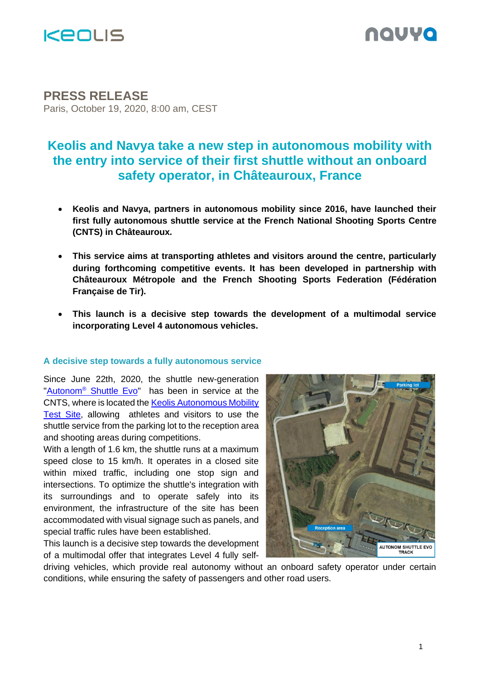

# nauva

# **PRESS RELEASE**

Paris, October 19, 2020, 8:00 am, CEST

# **Keolis and Navya take a new step in autonomous mobility with the entry into service of their first shuttle without an onboard safety operator, in Châteauroux, France**

- **Keolis and Navya, partners in autonomous mobility since 2016, have launched their first fully autonomous shuttle service at the French National Shooting Sports Centre (CNTS) in Châteauroux.**
- **This service aims at transporting athletes and visitors around the centre, particularly during forthcoming competitive events. It has been developed in partnership with Châteauroux Métropole and the French Shooting Sports Federation (Fédération Française de Tir).**
- **This launch is a decisive step towards the development of a multimodal service incorporating Level 4 autonomous vehicles.**

# **A decisive step towards a fully autonomous service**

Since June 22th, 2020, the shuttle new-generation "Autonom<sup>®</sup> [Shuttle Evo"](https://navya.tech/en/solutions/moving-people/self-driving-shuttle-for-passenger-transportation/) has been in service at the CNTS, where is located the [Keolis Autonomous Mobility](https://www.keolis.com/sites/default/files/atoms/files/keolis_poursuit_son_developpement_dans_les_services_de_mobilite_autonome_avec_la_creation_du_site_dessai_national_de_la_mobilite_autonome_keolis_.pdf)  [Test Site,](https://www.keolis.com/sites/default/files/atoms/files/keolis_poursuit_son_developpement_dans_les_services_de_mobilite_autonome_avec_la_creation_du_site_dessai_national_de_la_mobilite_autonome_keolis_.pdf) allowing athletes and visitors to use the shuttle service from the parking lot to the reception area and shooting areas during competitions.

With a length of 1.6 km, the shuttle runs at a maximum speed close to 15 km/h. It operates in a closed site within mixed traffic, including one stop sign and intersections. To optimize the shuttle's integration with its surroundings and to operate safely into its environment, the infrastructure of the site has been accommodated with visual signage such as panels, and special traffic rules have been established.

This launch is a decisive step towards the development of a multimodal offer that integrates Level 4 fully self-



driving vehicles, which provide real autonomy without an onboard safety operator under certain conditions, while ensuring the safety of passengers and other road users.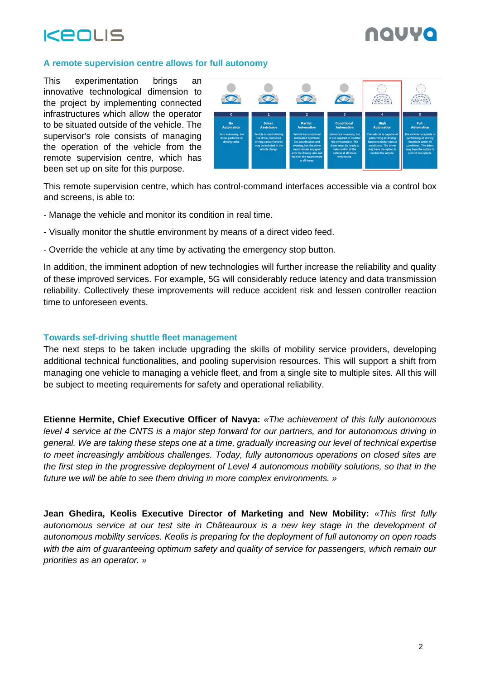



# **A remote supervision centre allows for full autonomy**

This experimentation brings an innovative technological dimension to the project by implementing connected infrastructures which allow the operator to be situated outside of the vehicle. The supervisor's role consists of managing the operation of the vehicle from the remote supervision centre, which has been set up on site for this purpose.



This remote supervision centre, which has control-command interfaces accessible via a control box and screens, is able to:

- Manage the vehicle and monitor its condition in real time.
- Visually monitor the shuttle environment by means of a direct video feed.
- Override the vehicle at any time by activating the emergency stop button.

In addition, the imminent adoption of new technologies will further increase the reliability and quality of these improved services. For example, 5G will considerably reduce latency and data transmission reliability. Collectively these improvements will reduce accident risk and lessen controller reaction time to unforeseen events.

## **Towards sef-driving shuttle fleet management**

The next steps to be taken include upgrading the skills of mobility service providers, developing additional technical functionalities, and pooling supervision resources. This will support a shift from managing one vehicle to managing a vehicle fleet, and from a single site to multiple sites. All this will be subject to meeting requirements for safety and operational reliability.

**Etienne Hermite, Chief Executive Officer of Navya:** *«The achievement of this fully autonomous level 4 service at the CNTS is a major step forward for our partners, and for autonomous driving in general. We are taking these steps one at a time, gradually increasing our level of technical expertise to meet increasingly ambitious challenges. Today, fully autonomous operations on closed sites are the first step in the progressive deployment of Level 4 autonomous mobility solutions, so that in the future we will be able to see them driving in more complex environments. »*

**Jean Ghedira, Keolis Executive Director of Marketing and New Mobility:** *«This first fully autonomous service at our test site in Châteauroux is a new key stage in the development of autonomous mobility services. Keolis is preparing for the deployment of full autonomy on open roads with the aim of guaranteeing optimum safety and quality of service for passengers, which remain our priorities as an operator. »*